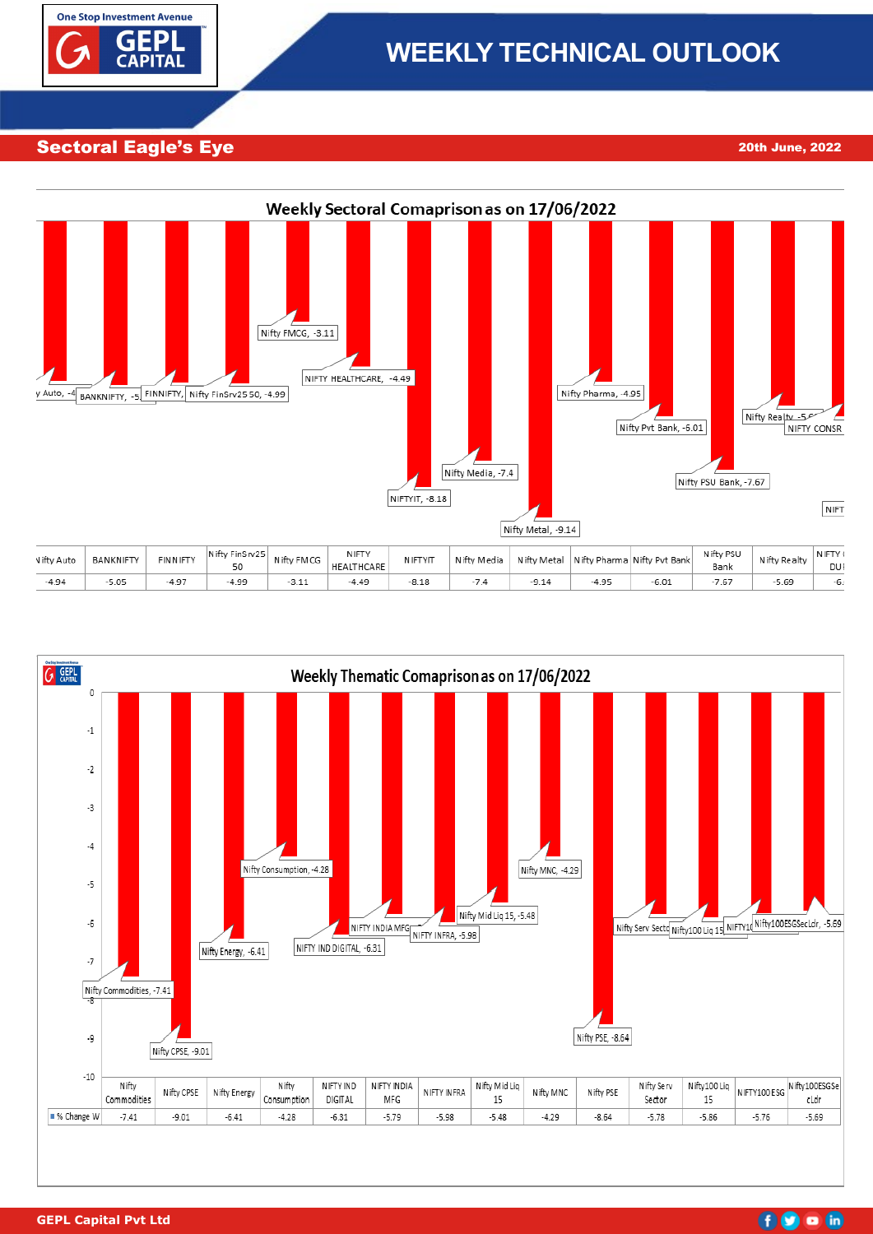

# **WEEKLY TECHNICAL OUTLOOK**

Sectoral Eagle's Eye 17th November 2022 20th June, 2022





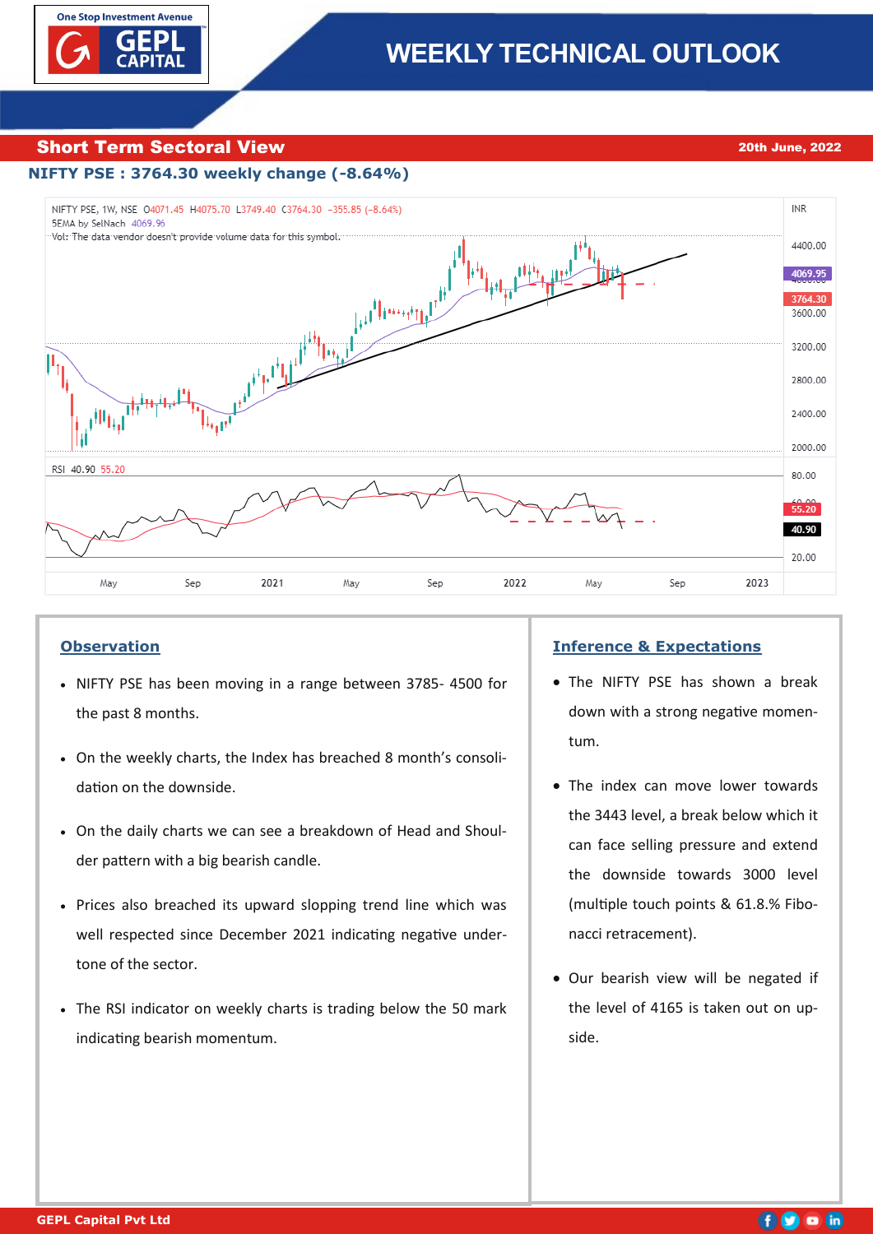

#### Short Term Sectoral View 2008 2012 20th June, 2022

#### **NIFTY PSE : 3764.30 weekly change (-8.64%)**



#### **Observation**

- NIFTY PSE has been moving in a range between 3785- 4500 for the past 8 months.
- On the weekly charts, the Index has breached 8 month's consolidation on the downside.
- On the daily charts we can see a breakdown of Head and Shoulder pattern with a big bearish candle.
- Prices also breached its upward slopping trend line which was well respected since December 2021 indicating negative undertone of the sector.
- The RSI indicator on weekly charts is trading below the 50 mark indicating bearish momentum.

#### **Inference & Expectations**

- The NIFTY PSE has shown a break down with a strong negative momentum.
- The index can move lower towards the 3443 level, a break below which it can face selling pressure and extend the downside towards 3000 level (multiple touch points & 61.8.% Fibonacci retracement).
- Our bearish view will be negated if the level of 4165 is taken out on upside.

## 60 o in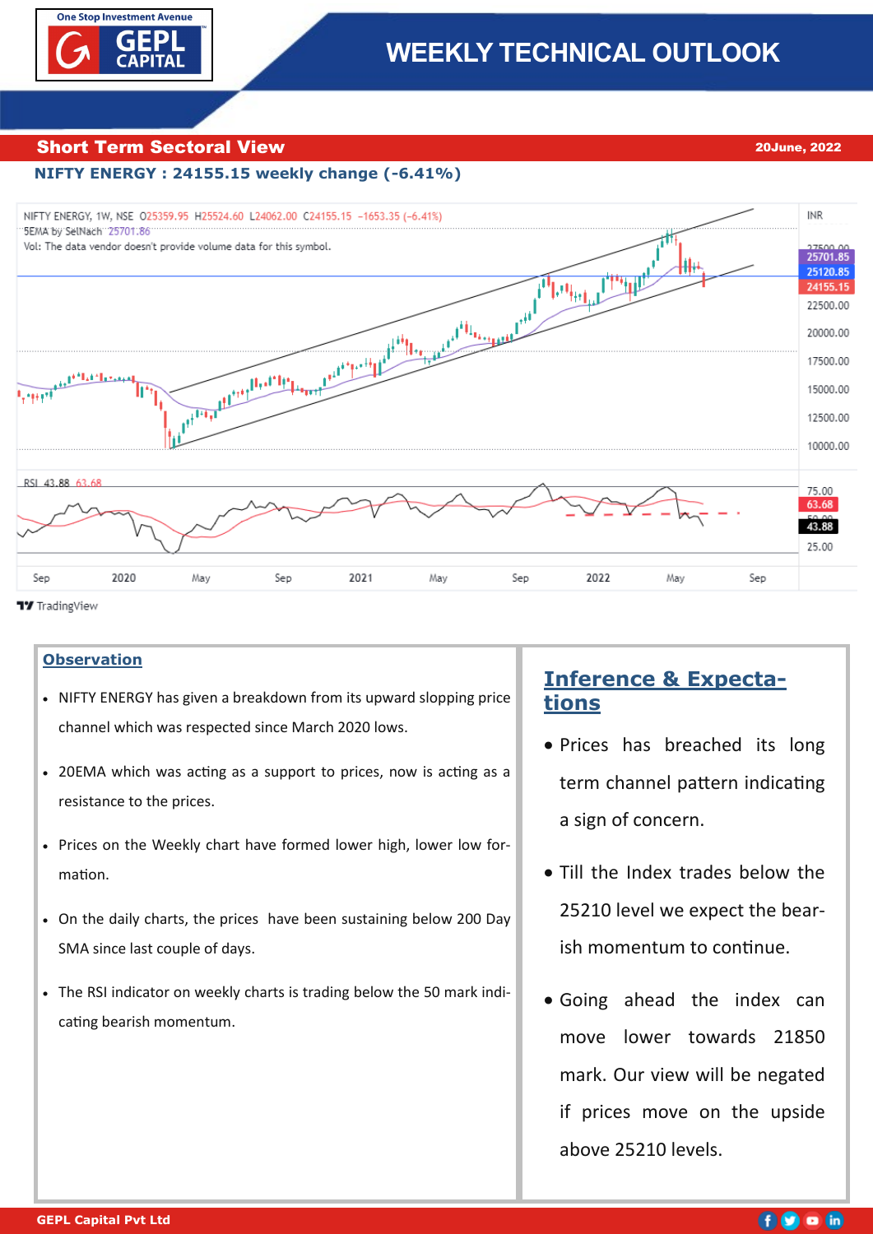

## Short Term Sectoral View 2014 2014 2022

## **NIFTY ENERGY : 24155.15 weekly change (-6.41%)**



**17** TradingView

## **Observation**

- NIFTY ENERGY has given a breakdown from its upward slopping price channel which was respected since March 2020 lows.
- 20EMA which was acting as a support to prices, now is acting as a resistance to the prices.
- Prices on the Weekly chart have formed lower high, lower low formation.
- On the daily charts, the prices have been sustaining below 200 Day SMA since last couple of days.
- The RSI indicator on weekly charts is trading below the 50 mark indicating bearish momentum.

## **Inference & Expectations**

- Prices has breached its long term channel pattern indicating a sign of concern.
- Till the Index trades below the 25210 level we expect the bearish momentum to continue.
- Going ahead the index can move lower towards 21850 mark. Our view will be negated if prices move on the upside above 25210 levels.